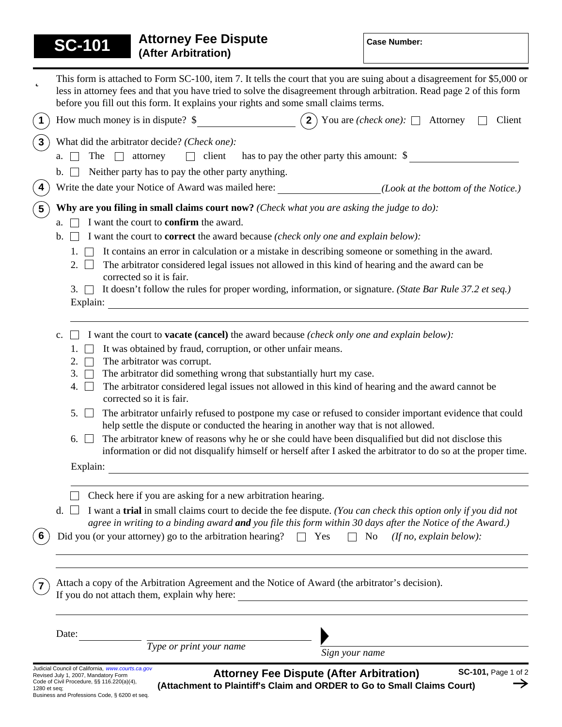|                                                                                                                                   | <b>Attorney Fee Dispute</b><br><b>SC-101</b><br>(After Arbitration)                                                                                                                                                                                                                                                                     |                                                                                                                | <b>Case Number:</b>                                                                                                  |
|-----------------------------------------------------------------------------------------------------------------------------------|-----------------------------------------------------------------------------------------------------------------------------------------------------------------------------------------------------------------------------------------------------------------------------------------------------------------------------------------|----------------------------------------------------------------------------------------------------------------|----------------------------------------------------------------------------------------------------------------------|
| þ                                                                                                                                 | This form is attached to Form SC-100, item 7. It tells the court that you are suing about a disagreement for \$5,000 or<br>less in attorney fees and that you have tried to solve the disagreement through arbitration. Read page 2 of this form<br>before you fill out this form. It explains your rights and some small claims terms. |                                                                                                                |                                                                                                                      |
| $\mathbf 1$                                                                                                                       | How much money is in dispute? \$                                                                                                                                                                                                                                                                                                        |                                                                                                                | <b>2</b> ) You are <i>(check one)</i> : $\Box$ Attorney<br>Client                                                    |
| $\mathbf{3}$                                                                                                                      | What did the arbitrator decide? (Check one):<br>has to pay the other party this amount: \$<br>The<br>client<br>attorney<br>a.<br>Neither party has to pay the other party anything.                                                                                                                                                     |                                                                                                                |                                                                                                                      |
| 4                                                                                                                                 |                                                                                                                                                                                                                                                                                                                                         |                                                                                                                | Write the date your Notice of Award was mailed here: ____________________________(Look at the bottom of the Notice.) |
|                                                                                                                                   |                                                                                                                                                                                                                                                                                                                                         |                                                                                                                |                                                                                                                      |
| $5\phantom{.0}$                                                                                                                   | Why are you filing in small claims court now? (Check what you are asking the judge to do):<br>I want the court to <b>confirm</b> the award.<br>a.                                                                                                                                                                                       |                                                                                                                |                                                                                                                      |
|                                                                                                                                   | I want the court to <b>correct</b> the award because (check only one and explain below):<br>$\mathbf{b}$ .                                                                                                                                                                                                                              |                                                                                                                |                                                                                                                      |
|                                                                                                                                   | It contains an error in calculation or a mistake in describing someone or something in the award.<br>1.<br>The arbitrator considered legal issues not allowed in this kind of hearing and the award can be<br>$2. \ \Box$<br>corrected so it is fair.                                                                                   |                                                                                                                |                                                                                                                      |
| It doesn't follow the rules for proper wording, information, or signature. (State Bar Rule 37.2 et seq.)<br>$3. \Box$<br>Explain: |                                                                                                                                                                                                                                                                                                                                         |                                                                                                                |                                                                                                                      |
|                                                                                                                                   | I want the court to <b>vacate (cancel)</b> the award because <i>(check only one and explain below)</i> :<br>c.                                                                                                                                                                                                                          |                                                                                                                |                                                                                                                      |
|                                                                                                                                   | It was obtained by fraud, corruption, or other unfair means.<br>1.<br>The arbitrator was corrupt.<br>2.                                                                                                                                                                                                                                 |                                                                                                                |                                                                                                                      |
|                                                                                                                                   | The arbitrator did something wrong that substantially hurt my case.<br>3.                                                                                                                                                                                                                                                               |                                                                                                                |                                                                                                                      |
|                                                                                                                                   | The arbitrator considered legal issues not allowed in this kind of hearing and the award cannot be<br>4.<br>corrected so it is fair.                                                                                                                                                                                                    |                                                                                                                |                                                                                                                      |
|                                                                                                                                   | The arbitrator unfairly refused to postpone my case or refused to consider important evidence that could<br>5. L<br>help settle the dispute or conducted the hearing in another way that is not allowed.                                                                                                                                |                                                                                                                |                                                                                                                      |
|                                                                                                                                   | The arbitrator knew of reasons why he or she could have been disqualified but did not disclose this<br>6.<br>information or did not disqualify himself or herself after I asked the arbitrator to do so at the proper time.                                                                                                             |                                                                                                                |                                                                                                                      |
|                                                                                                                                   | Explain:                                                                                                                                                                                                                                                                                                                                |                                                                                                                |                                                                                                                      |
|                                                                                                                                   | Check here if you are asking for a new arbitration hearing.                                                                                                                                                                                                                                                                             |                                                                                                                |                                                                                                                      |
|                                                                                                                                   | d.                                                                                                                                                                                                                                                                                                                                      | I want a trial in small claims court to decide the fee dispute. (You can check this option only if you did not |                                                                                                                      |
| 6                                                                                                                                 | agree in writing to a binding award and you file this form within 30 days after the Notice of the Award.)<br>Did you (or your attorney) go to the arbitration hearing? $\Box$ Yes $\Box$ No (If no, explain below):                                                                                                                     |                                                                                                                |                                                                                                                      |
|                                                                                                                                   | Attach a copy of the Arbitration Agreement and the Notice of Award (the arbitrator's decision).                                                                                                                                                                                                                                         |                                                                                                                |                                                                                                                      |
|                                                                                                                                   | Date:                                                                                                                                                                                                                                                                                                                                   |                                                                                                                |                                                                                                                      |
|                                                                                                                                   | $\frac{1}{\text{Type or print your name}}$                                                                                                                                                                                                                                                                                              | Sign your name                                                                                                 | <u> 1989 - Johann Stoff, fransk politik (d. 19</u>                                                                   |
|                                                                                                                                   | Judicial Council of California, www.courts.ca.gov<br>Revised July 1, 2007. Mandatory Form                                                                                                                                                                                                                                               | <b>Attorney Fee Dispute (After Arbitration)</b>                                                                | SC-101, Page 1 of 2                                                                                                  |

Revised July 1, 2007, Mandatory Form<br>Code of Civil Procedure, §§ 116.220(a)(4),<br>1280 et seq;<br>Business and Professions Code, § 6200 et seq.

**Attorney Fee Dispute (After Arbitration) (Attachment to Plaintiff's Claim and ORDER to Go to Small Claims Court)**